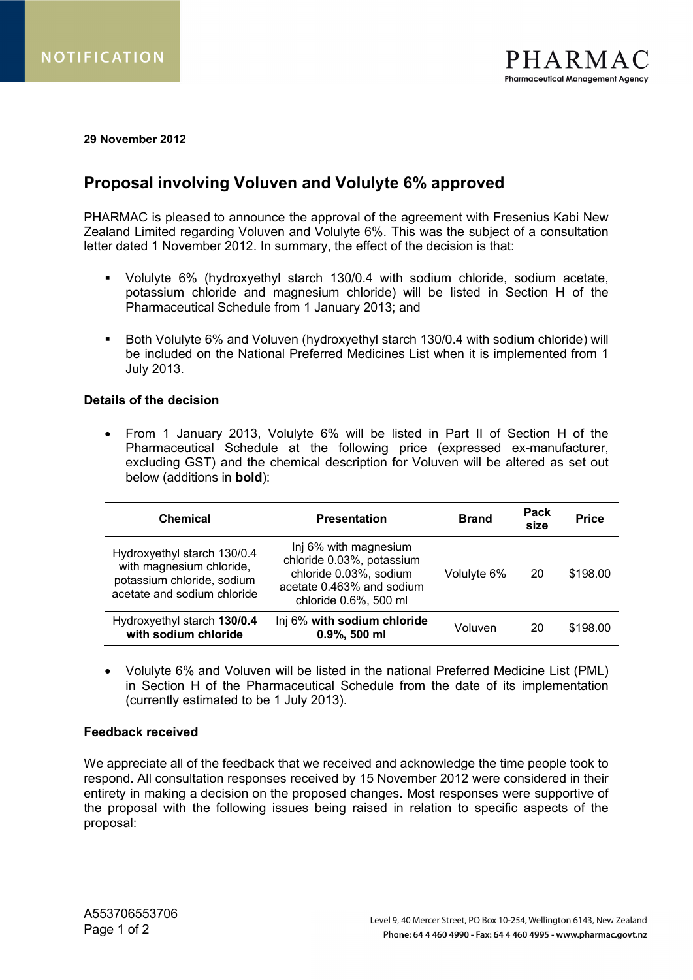**29 November 2012**

## **Proposal involving Voluven and Volulyte 6% approved**

PHARMAC is pleased to announce the approval of the agreement with Fresenius Kabi New Zealand Limited regarding Voluven and Volulyte 6%. This was the subject of a consultation letter dated 1 November 2012. In summary, the effect of the decision is that:

- Volulyte 6% (hydroxyethyl starch 130/0.4 with sodium chloride, sodium acetate, potassium chloride and magnesium chloride) will be listed in Section H of the Pharmaceutical Schedule from 1 January 2013; and
- Both Volulyte 6% and Voluven (hydroxyethyl starch 130/0.4 with sodium chloride) will be included on the National Preferred Medicines List when it is implemented from 1 July 2013.

## **Details of the decision**

 From 1 January 2013, Volulyte 6% will be listed in Part II of Section H of the Pharmaceutical Schedule at the following price (expressed ex-manufacturer, excluding GST) and the chemical description for Voluven will be altered as set out below (additions in **bold**):

| <b>Chemical</b>                                                                                                      | <b>Presentation</b>                                                                                                                | <b>Brand</b> | Pack<br>size | <b>Price</b> |
|----------------------------------------------------------------------------------------------------------------------|------------------------------------------------------------------------------------------------------------------------------------|--------------|--------------|--------------|
| Hydroxyethyl starch 130/0.4<br>with magnesium chloride,<br>potassium chloride, sodium<br>acetate and sodium chloride | Inj 6% with magnesium<br>chloride 0.03%, potassium<br>chloride 0.03%, sodium<br>acetate 0.463% and sodium<br>chloride 0.6%, 500 ml | Volulyte 6%  | 20           | \$198.00     |
| Hydroxyethyl starch 130/0.4<br>with sodium chloride                                                                  | Inj 6% with sodium chloride<br>0.9%, 500 ml                                                                                        | Voluven      | 20           | \$198.00     |

 Volulyte 6% and Voluven will be listed in the national Preferred Medicine List (PML) in Section H of the Pharmaceutical Schedule from the date of its implementation (currently estimated to be 1 July 2013).

## **Feedback received**

We appreciate all of the feedback that we received and acknowledge the time people took to respond. All consultation responses received by 15 November 2012 were considered in their entirety in making a decision on the proposed changes. Most responses were supportive of the proposal with the following issues being raised in relation to specific aspects of the proposal: